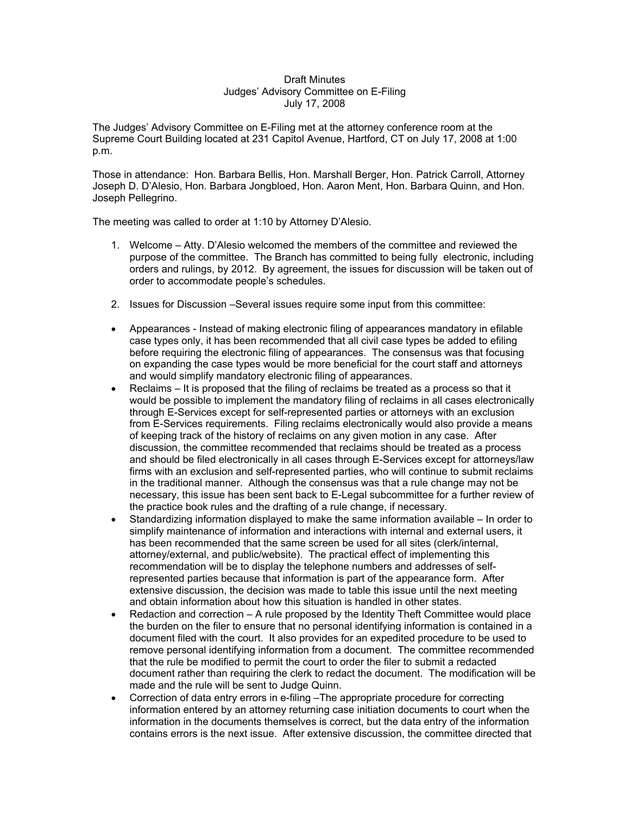## Draft Minutes Judges' Advisory Committee on E-Filing July 17, 2008

The Judges' Advisory Committee on E-Filing met at the attorney conference room at the Supreme Court Building located at 231 Capitol Avenue, Hartford, CT on July 17, 2008 at 1:00 p.m.

Those in attendance: Hon. Barbara Bellis, Hon. Marshall Berger, Hon. Patrick Carroll, Attorney Joseph D. D'Alesio, Hon. Barbara Jongbloed, Hon. Aaron Ment, Hon. Barbara Quinn, and Hon. Joseph Pellegrino.

The meeting was called to order at 1:10 by Attorney D'Alesio.

- 1. Welcome Atty. D'Alesio welcomed the members of the committee and reviewed the purpose of the committee. The Branch has committed to being fully electronic, including orders and rulings, by 2012. By agreement, the issues for discussion will be taken out of order to accommodate people's schedules.
- 2. Issues for Discussion –Several issues require some input from this committee:
- Appearances Instead of making electronic filing of appearances mandatory in efilable case types only, it has been recommended that all civil case types be added to efiling before requiring the electronic filing of appearances. The consensus was that focusing on expanding the case types would be more beneficial for the court staff and attorneys and would simplify mandatory electronic filing of appearances.
- Reclaims It is proposed that the filing of reclaims be treated as a process so that it would be possible to implement the mandatory filing of reclaims in all cases electronically through E-Services except for self-represented parties or attorneys with an exclusion from E-Services requirements. Filing reclaims electronically would also provide a means of keeping track of the history of reclaims on any given motion in any case. After discussion, the committee recommended that reclaims should be treated as a process and should be filed electronically in all cases through E-Services except for attorneys/law firms with an exclusion and self-represented parties, who will continue to submit reclaims in the traditional manner. Although the consensus was that a rule change may not be necessary, this issue has been sent back to E-Legal subcommittee for a further review of the practice book rules and the drafting of a rule change, if necessary.
- Standardizing information displayed to make the same information available In order to simplify maintenance of information and interactions with internal and external users, it has been recommended that the same screen be used for all sites (clerk/internal, attorney/external, and public/website). The practical effect of implementing this recommendation will be to display the telephone numbers and addresses of selfrepresented parties because that information is part of the appearance form. After extensive discussion, the decision was made to table this issue until the next meeting and obtain information about how this situation is handled in other states.
- Redaction and correction A rule proposed by the Identity Theft Committee would place the burden on the filer to ensure that no personal identifying information is contained in a document filed with the court. It also provides for an expedited procedure to be used to remove personal identifying information from a document. The committee recommended that the rule be modified to permit the court to order the filer to submit a redacted document rather than requiring the clerk to redact the document. The modification will be made and the rule will be sent to Judge Quinn.
- Correction of data entry errors in e-filing –The appropriate procedure for correcting information entered by an attorney returning case initiation documents to court when the information in the documents themselves is correct, but the data entry of the information contains errors is the next issue. After extensive discussion, the committee directed that